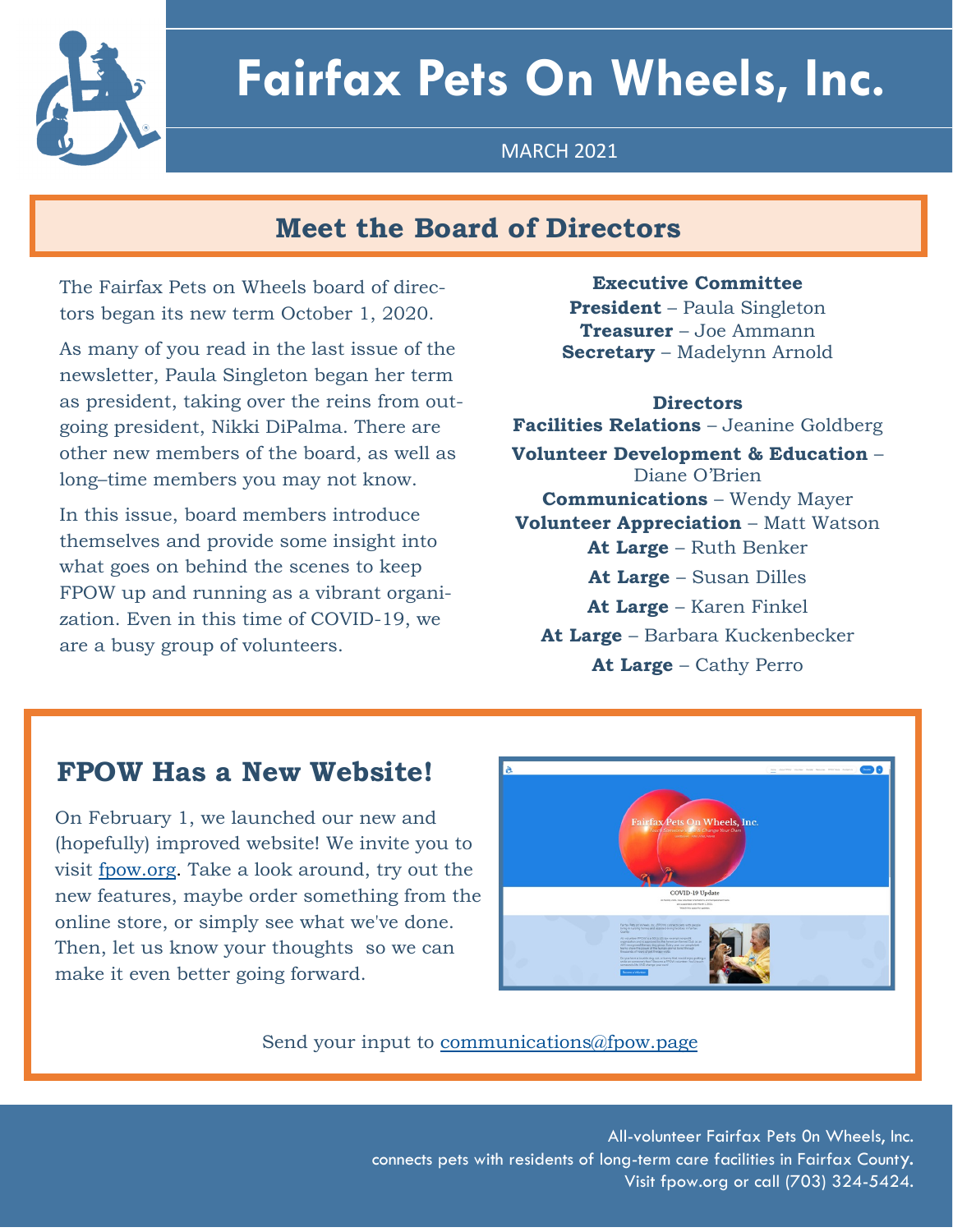

# **Fairfax Pets On Wheels, Inc.**

MARCH 2021

# **Meet the Board of Directors**

The Fairfax Pets on Wheels board of directors began its new term October 1, 2020.

As many of you read in the last issue of the newsletter, Paula Singleton began her term as president, taking over the reins from outgoing president, Nikki DiPalma. There are other new members of the board, as well as long–time members you may not know.

In this issue, board members introduce themselves and provide some insight into what goes on behind the scenes to keep FPOW up and running as a vibrant organization. Even in this time of COVID-19, we are a busy group of volunteers.

### **Executive Committee**

**President** – Paula Singleton **Treasurer** – Joe Ammann **Secretary** – Madelynn Arnold

#### **Directors**

**Facilities Relations** – Jeanine Goldberg **Volunteer Development & Education** – Diane O'Brien **Communications** – Wendy Mayer **Volunteer Appreciation** – Matt Watson **At Large** – Ruth Benker **At Large** – Susan Dilles **At Large** – Karen Finkel **At Large** – Barbara Kuckenbecker **At Large** – Cathy Perro

## **FPOW Has a New Website!**

On February 1, we launched our new and (hopefully) improved website! We invite you to visit [fpow.org.](http://www.fpow.org) Take a look around, try out the new features, maybe order something from the online store, or simply see what we've done. Then, let us know your thoughts so we can make it even better going forward.



Send your input to [communications@fpow.page](mailto:communications@fpow.page)

SPRING 2021

All-volunteer Fairfax Pets 0n Wheels, Inc. connects pets with residents of long-term care facilities in Fairfax County. Visit fpow.org or call (703) 324-5424.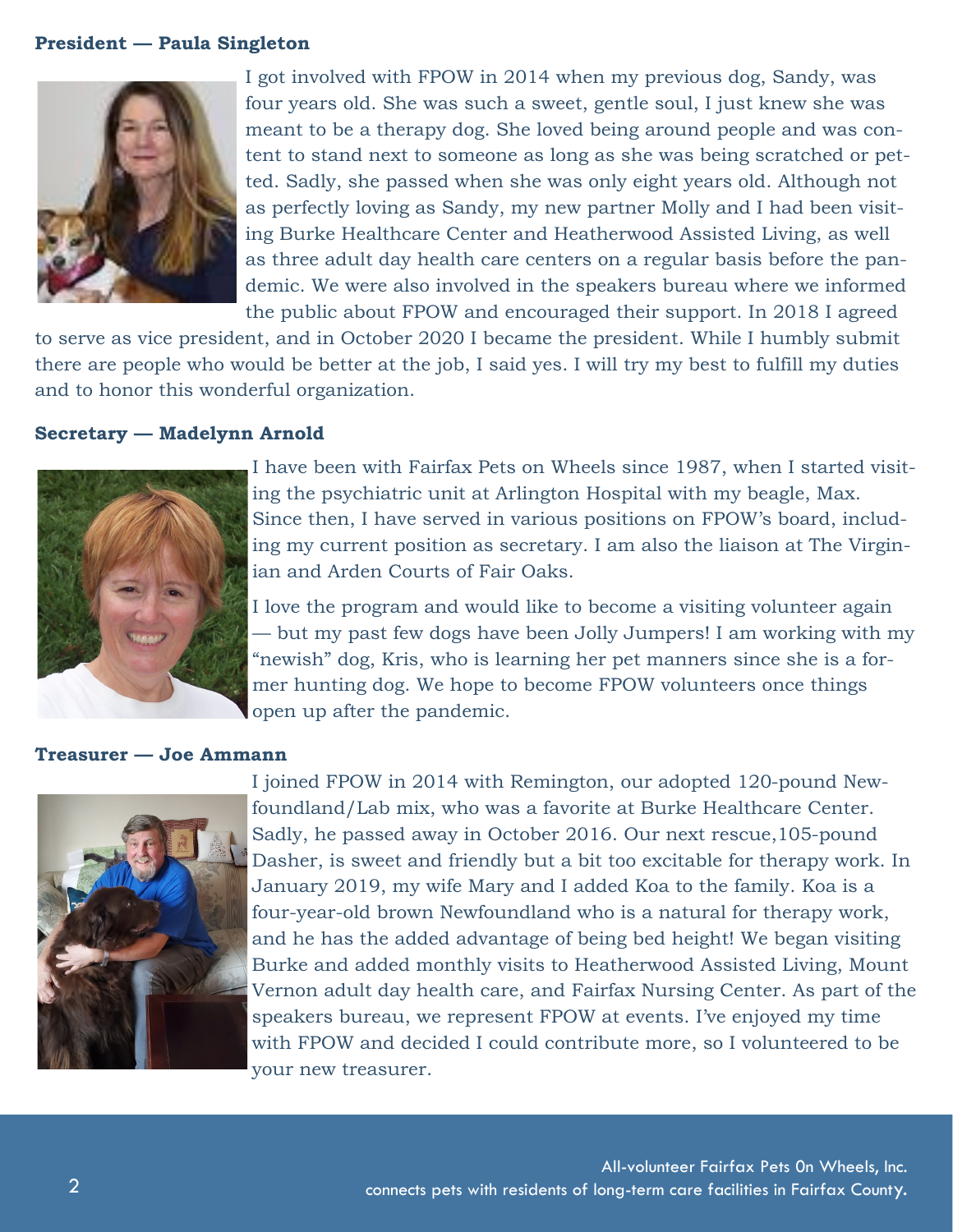#### **President — Paula Singleton**



I got involved with FPOW in 2014 when my previous dog, Sandy, was four years old. She was such a sweet, gentle soul, I just knew she was meant to be a therapy dog. She loved being around people and was content to stand next to someone as long as she was being scratched or petted. Sadly, she passed when she was only eight years old. Although not as perfectly loving as Sandy, my new partner Molly and I had been visiting Burke Healthcare Center and Heatherwood Assisted Living, as well as three adult day health care centers on a regular basis before the pandemic. We were also involved in the speakers bureau where we informed the public about FPOW and encouraged their support. In 2018 I agreed

to serve as vice president, and in October 2020 I became the president. While I humbly submit there are people who would be better at the job, I said yes. I will try my best to fulfill my duties and to honor this wonderful organization.

#### **Secretary — Madelynn Arnold**



I have been with Fairfax Pets on Wheels since 1987, when I started visiting the psychiatric unit at Arlington Hospital with my beagle, Max. Since then, I have served in various positions on FPOW's board, including my current position as secretary. I am also the liaison at The Virginian and Arden Courts of Fair Oaks.

I love the program and would like to become a visiting volunteer again — but my past few dogs have been Jolly Jumpers! I am working with my "newish" dog, Kris, who is learning her pet manners since she is a former hunting dog. We hope to become FPOW volunteers once things open up after the pandemic.

#### **Treasurer — Joe Ammann**



I joined FPOW in 2014 with Remington, our adopted 120-pound Newfoundland/Lab mix, who was a favorite at Burke Healthcare Center. Sadly, he passed away in October 2016. Our next rescue,105-pound Dasher, is sweet and friendly but a bit too excitable for therapy work. In January 2019, my wife Mary and I added Koa to the family. Koa is a four-year-old brown Newfoundland who is a natural for therapy work, and he has the added advantage of being bed height! We began visiting Burke and added monthly visits to Heatherwood Assisted Living, Mount Vernon adult day health care, and Fairfax Nursing Center. As part of the speakers bureau, we represent FPOW at events. I've enjoyed my time with FPOW and decided I could contribute more, so I volunteered to be your new treasurer.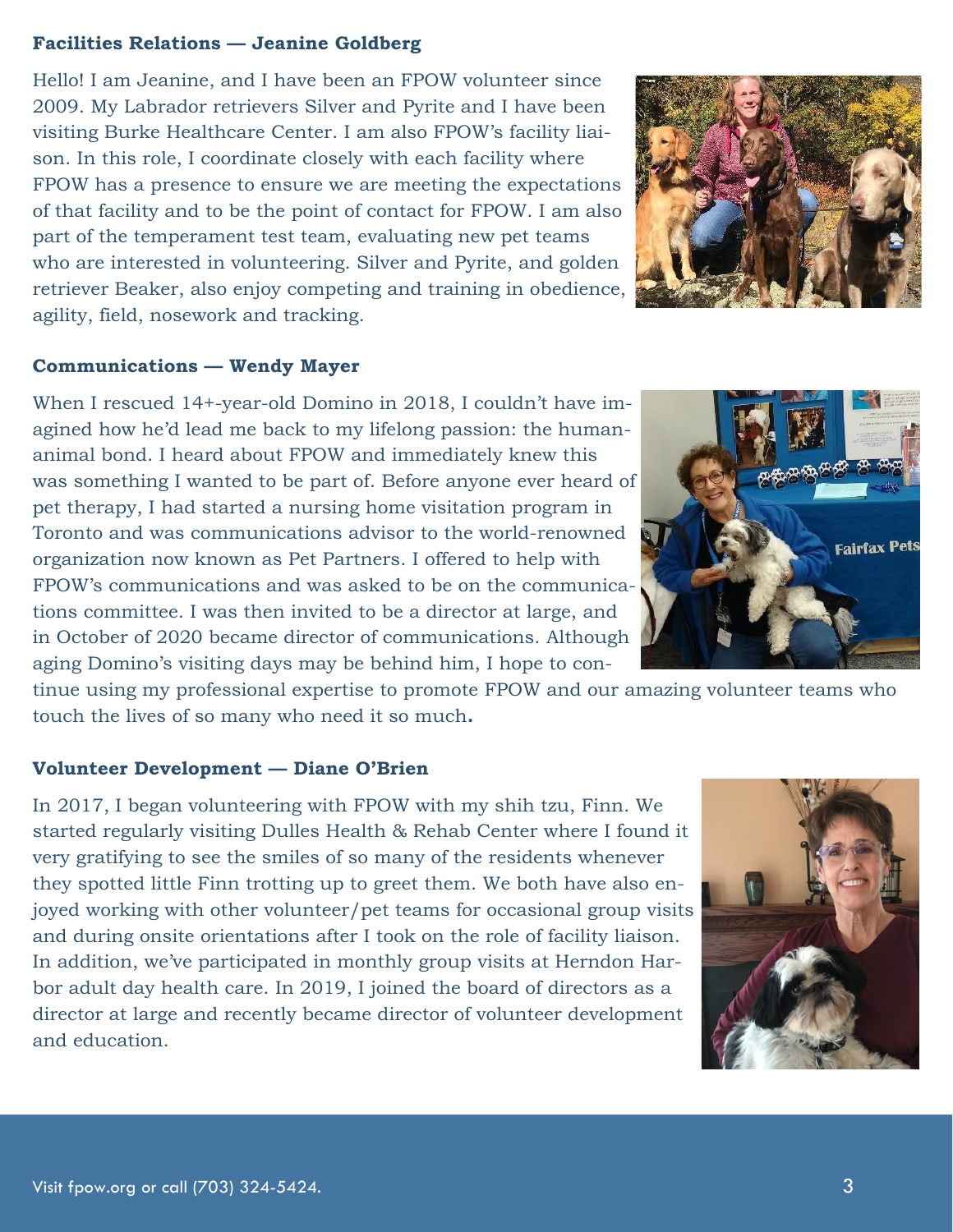#### **Facilities Relations — Jeanine Goldberg**

Hello! I am Jeanine, and I have been an FPOW volunteer since 2009. My Labrador retrievers Silver and Pyrite and I have been visiting Burke Healthcare Center. I am also FPOW's facility liaison. In this role, I coordinate closely with each facility where FPOW has a presence to ensure we are meeting the expectations of that facility and to be the point of contact for FPOW. I am also part of the temperament test team, evaluating new pet teams who are interested in volunteering. Silver and Pyrite, and golden retriever Beaker, also enjoy competing and training in obedience, agility, field, nosework and tracking.



#### **Communications — Wendy Mayer**

When I rescued 14+-year-old Domino in 2018, I couldn't have imagined how he'd lead me back to my lifelong passion: the humananimal bond. I heard about FPOW and immediately knew this was something I wanted to be part of. Before anyone ever heard of pet therapy, I had started a nursing home visitation program in Toronto and was communications advisor to the world-renowned organization now known as Pet Partners. I offered to help with FPOW's communications and was asked to be on the communications committee. I was then invited to be a director at large, and in October of 2020 became director of communications. Although aging Domino's visiting days may be behind him, I hope to con-

tinue using my professional expertise to promote FPOW and our amazing volunteer teams who touch the lives of so many who need it so much**.**

#### **Volunteer Development — Diane O'Brien**

In 2017, I began volunteering with FPOW with my shih tzu, Finn. We started regularly visiting Dulles Health & Rehab Center where I found it very gratifying to see the smiles of so many of the residents whenever they spotted little Finn trotting up to greet them. We both have also enjoyed working with other volunteer/pet teams for occasional group visits and during onsite orientations after I took on the role of facility liaison. In addition, we've participated in monthly group visits at Herndon Harbor adult day health care. In 2019, I joined the board of directors as a director at large and recently became director of volunteer development and education.



![](_page_2_Picture_9.jpeg)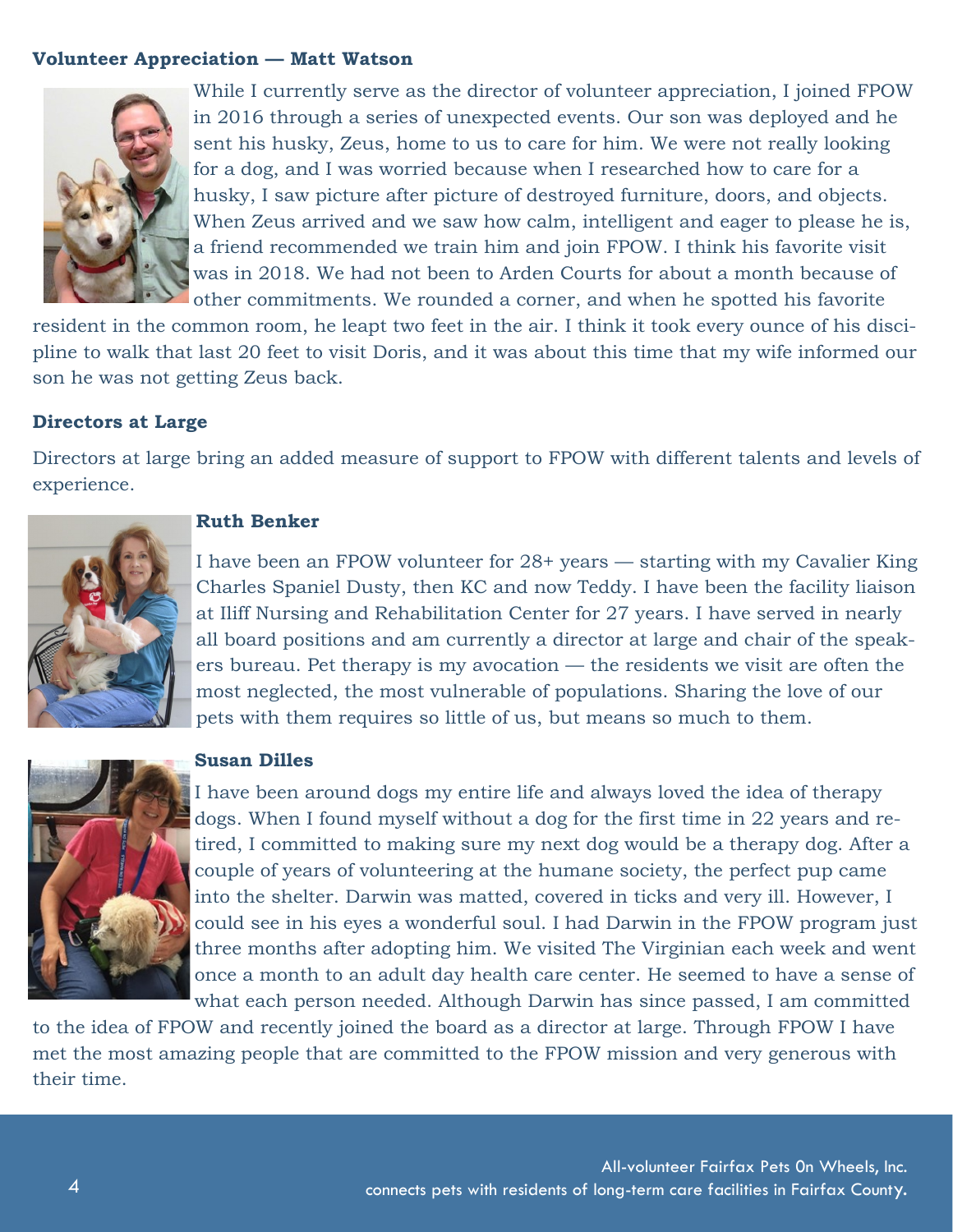#### **Volunteer Appreciation — Matt Watson**

![](_page_3_Picture_1.jpeg)

While I currently serve as the director of volunteer appreciation, I joined FPOW in 2016 through a series of unexpected events. Our son was deployed and he sent his husky, Zeus, home to us to care for him. We were not really looking for a dog, and I was worried because when I researched how to care for a husky, I saw picture after picture of destroyed furniture, doors, and objects. When Zeus arrived and we saw how calm, intelligent and eager to please he is, a friend recommended we train him and join FPOW. I think his favorite visit was in 2018. We had not been to Arden Courts for about a month because of other commitments. We rounded a corner, and when he spotted his favorite

resident in the common room, he leapt two feet in the air. I think it took every ounce of his discipline to walk that last 20 feet to visit Doris, and it was about this time that my wife informed our son he was not getting Zeus back.

#### **Directors at Large**

Directors at large bring an added measure of support to FPOW with different talents and levels of experience.

![](_page_3_Picture_6.jpeg)

#### **Ruth Benker**

I have been an FPOW volunteer for 28+ years — starting with my Cavalier King Charles Spaniel Dusty, then KC and now Teddy. I have been the facility liaison at Iliff Nursing and Rehabilitation Center for 27 years. I have served in nearly all board positions and am currently a director at large and chair of the speakers bureau. Pet therapy is my avocation — the residents we visit are often the most neglected, the most vulnerable of populations. Sharing the love of our pets with them requires so little of us, but means so much to them.

![](_page_3_Picture_9.jpeg)

#### **Susan Dilles**

I have been around dogs my entire life and always loved the idea of therapy dogs. When I found myself without a dog for the first time in 22 years and retired, I committed to making sure my next dog would be a therapy dog. After a couple of years of volunteering at the humane society, the perfect pup came into the shelter. Darwin was matted, covered in ticks and very ill. However, I could see in his eyes a wonderful soul. I had Darwin in the FPOW program just three months after adopting him. We visited The Virginian each week and went once a month to an adult day health care center. He seemed to have a sense of what each person needed. Although Darwin has since passed, I am committed

to the idea of FPOW and recently joined the board as a director at large. Through FPOW I have met the most amazing people that are committed to the FPOW mission and very generous with their time.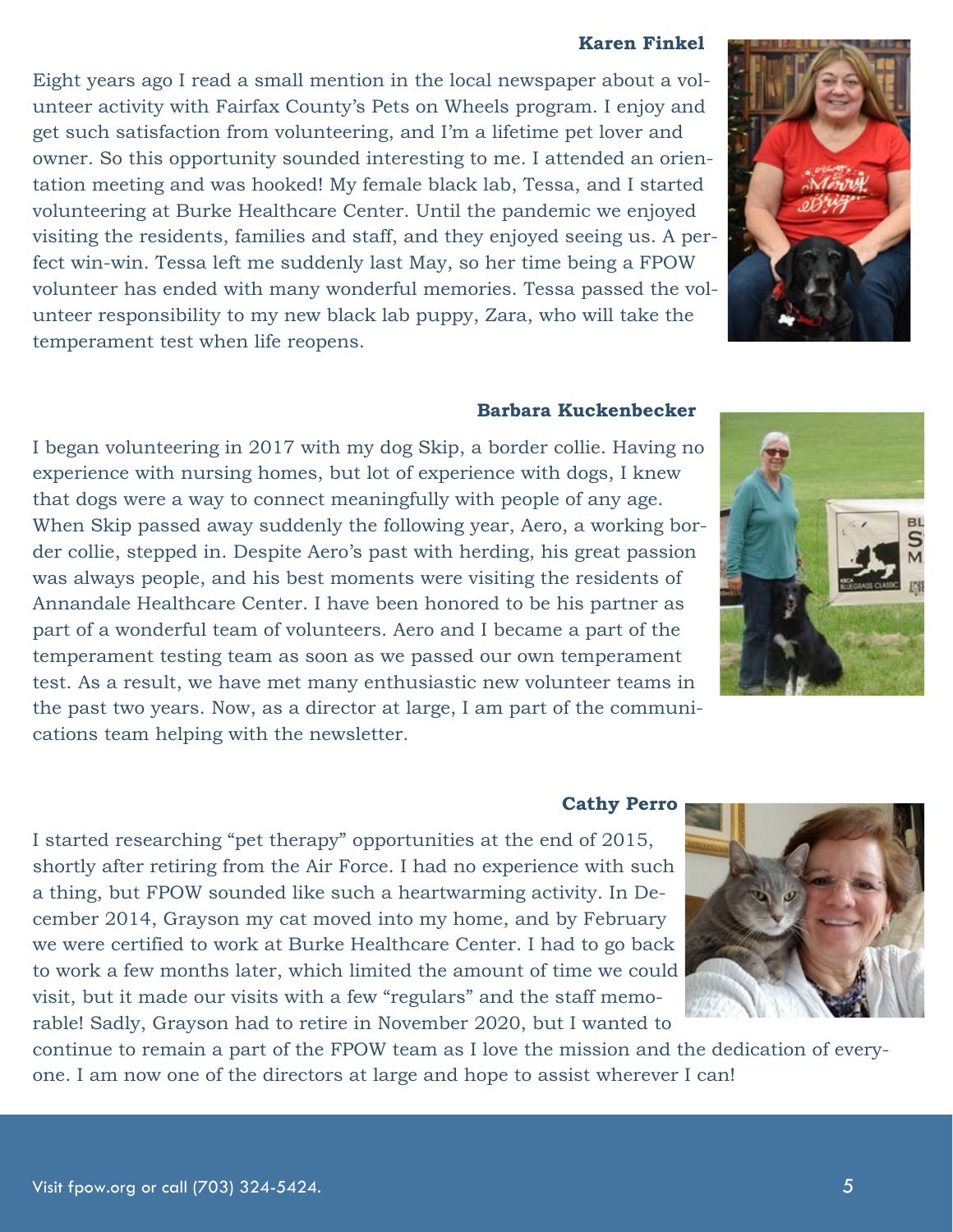#### **Karen Finkel**

Eight years ago I read a small mention in the local newspaper about a volunteer activity with Fairfax County's Pets on Wheels program. I enjoy and get such satisfaction from volunteering, and I'm a lifetime pet lover and owner. So this opportunity sounded interesting to me. I attended an orientation meeting and was hooked! My female black lab, Tessa, and I started volunteering at Burke Healthcare Center. Until the pandemic we enjoyed visiting the residents, families and staff, and they enjoyed seeing us. A perfect win-win. Tessa left me suddenly last May, so her time being a FPOW volunteer has ended with many wonderful memories. Tessa passed the volunteer responsibility to my new black lab puppy, Zara, who will take the temperament test when life reopens.

#### **Barbara Kuckenbecker**

I began volunteering in 2017 with my dog Skip, a border collie. Having no experience with nursing homes, but lot of experience with dogs, I knew that dogs were a way to connect meaningfully with people of any age. When Skip passed away suddenly the following year, Aero, a working border collie, stepped in. Despite Aero's past with herding, his great passion was always people, and his best moments were visiting the residents of Annandale Healthcare Center. I have been honored to be his partner as part of a wonderful team of volunteers. Aero and I became a part of the temperament testing team as soon as we passed our own temperament test. As a result, we have met many enthusiastic new volunteer teams in the past two years. Now, as a director at large, I am part of the communications team helping with the newsletter.

#### **Cathy Perro**

I started researching "pet therapy" opportunities at the end of 2015, shortly after retiring from the Air Force. I had no experience with such a thing, but FPOW sounded like such a heartwarming activity. In December 2014, Grayson my cat moved into my home, and by February we were certified to work at Burke Healthcare Center. I had to go back to work a few months later, which limited the amount of time we could visit, but it made our visits with a few "regulars" and the staff memorable! Sadly, Grayson had to retire in November 2020, but I wanted to

continue to remain a part of the FPOW team as I love the mission and the dedication of everyone. I am now one of the directors at large and hope to assist wherever I can!

![](_page_4_Picture_8.jpeg)

![](_page_4_Picture_9.jpeg)

![](_page_4_Picture_10.jpeg)